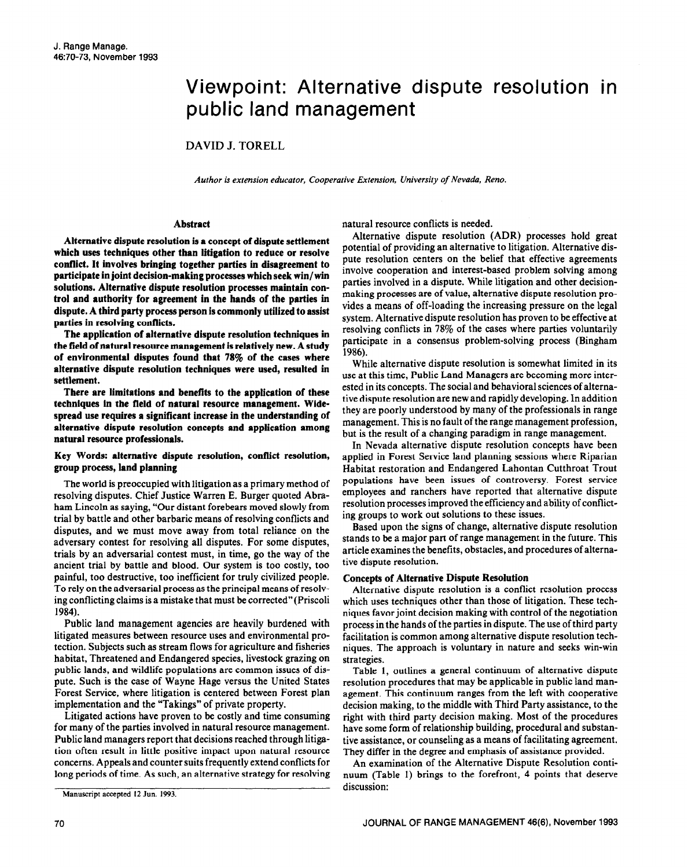# Viewpoint: Alternative dispute resolution in public land management

DAVID J. TORELL

*Author is extension educator, Cooperative Extension, University of Nevada, Reno.* 

#### **Abstract**

**Alternative dispute resolution is a concept of dispute settlement which uses techniques other than litigation to reduce or resolve conflict. It involves bringing together parties in disagreement to participate in joint decision-making processes which seek win/win solutions. Alternative dispute resolution processes maintain control and authority for agreement in the hands of the parties in dispute. A third party process person is commonly utilized to assist parties in resolving conflicts.** 

**The application of alternative dispute resolution techniques in the field of natural resource management is relatively new. A study of environmental disputes found that 78% of the cases where alternative dispute resolution techniques were used, resulted in settlement.** 

**There are limitations and benefits to the application of these techniques in the field of natural resource management. Widespread use requires a significant increase in the understanding of alternative dispute resolution concepts and application among natural resource professionals.** 

## **Key Words: alternative dispute resolution, conflict resolution, group process, land planning**

The world is preoccupied with litigation as a primary method of resolving disputes. Chief Justice Warren E. Burger quoted Abraham Lincoln as saying, "Our distant forebears moved slowly from trial by battle and other barbaric means of resolving conflicts and disputes, and we must move away from total reliance on the adversary contest for resolving all disputes. For some disputes, trials by an adversarial contest must, in time, go the way of the ancient trial by battle and blood. Our system is too costly, too painful, too destructive, too inefficient for truly civilized people. To rely on the adversarial process as the principal means of resolving conflicting claims is a mistake that must be corrected"(Priscoli 1984).

Public land management agencies are heavily burdened with litigated measures between resource uses and environmental protection. Subjects such as stream flows for agriculture and fisheries habitat, Threatened and Endangered species, livestock grazing on public lands, and wildlife populations are common issues of dispute. Such is the case of Wayne Hage versus the United States Forest Service, where litigation is centered between Forest plan implementation and the "Takings" of private property.

Litigated actions have proven to be costly and time consuming for many of the parties involved in natural resource management. Public land managers report that decisions reached through litigation often result in little positive impact upon natural resource concerns. Appeals and counter suits frequently extend conflicts for long periods of time. As such, an alternative strategy for resolving natural resource conflicts is needed.

Alternative dispute resolution (ADR) processes hold great potential of providing an alternative to litigation. Alternative dispute resolution centers on the belief that effective agreements involve cooperation and interest-based problem solving among parties involved in a dispute. While litigation and other decisionmaking processes are of value, alternative dispute resolution provides a means of off-loading the increasing pressure on the legal system. Alternative dispute resolution has proven to be effective at resolving conflicts in 78% of the cases where parties voluntarily participate in a consensus problem-solving process (Bingham 1986).

While alternative dispute resolution is somewhat limited in its use at this time, Public Land Managers are becoming more interested in its concepts. The social and behavioral sciences of alternative dispute resolution are new and rapidly developing. In addition they are poorly understood by many of the professionals in range management. This is no fault of the range management profession, but is the result of a changing paradigm in range management.

In Nevada alternative dispute resolution concepts have been applied in Forest Service land planning sessions where Riparian Habitat restoration and Endangered Lahontan Cutthroat Trout populations have been issues of controversy. Forest service employees and ranchers have reported that alternative dispute resolution processes improved the efficiency and ability of conflicting groups to work out solutions to these issues.

Based upon the signs of change, alternative dispute resolution stands to be a major part of range management in the future. This article examines the benefits, obstacles, and procedures of alternative dispute resolution.

#### **Concepts of Alternative Dispute Resolution**

Alternative dispute resolution is a conflict resolution process which uses techniques other than those of litigation. These techniques favor joint decision making with control of the negotiation process in the hands of the parties in dispute. The use of third party facilitation is common among alternative dispute resolution techniques. The approach is voluntary in nature and seeks win-win strategies.

Table 1, outlines a general continuum of alternative dispute resolution procedures that may be applicable in public land management. This continuum ranges from the left with cooperative decision making, to the middle with Third Party assistance, to the right with third party decision making. Most of the procedures have some form of relationship building, procedural and substantive assistance, or counseling as a means of facilitating agreement. They differ in the degree and emphasis of assistance provided.

An examination of the Alternative Dispute Resolution continuum (Table 1) brings to the forefront, 4 points that deserve discussion:

Manuscript accepted 12 Jun. 1993.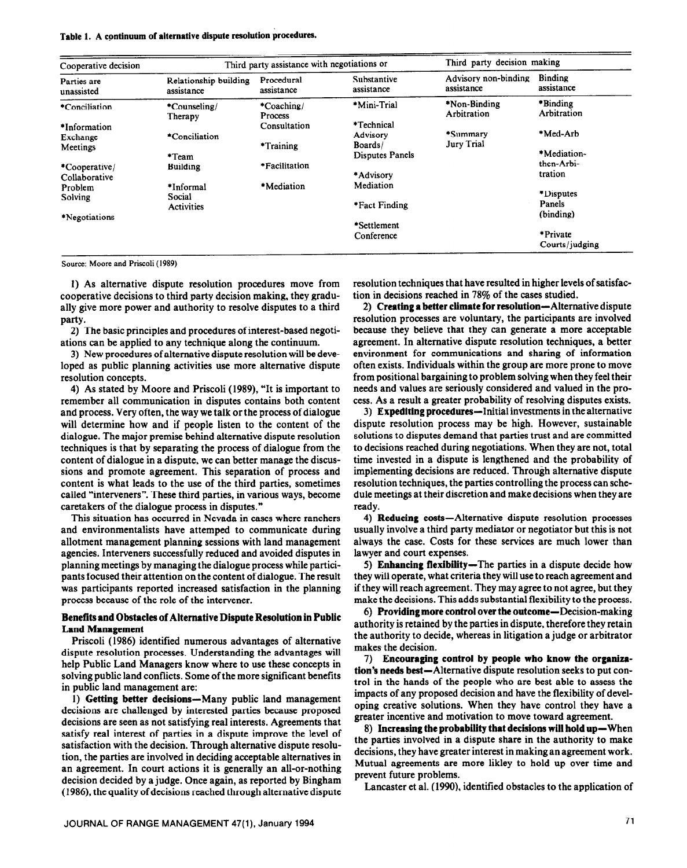#### Table 1. A continuum of alternative dispute resolution procedures.

| Cooperative decision<br>Parties are<br>unassisted | Third party assistance with negotiations or |                                              |                           | Third party decision making                             |                              |
|---------------------------------------------------|---------------------------------------------|----------------------------------------------|---------------------------|---------------------------------------------------------|------------------------------|
|                                                   | Relationship building<br>assistance         | Procedural<br>assistance                     | Substantive<br>assistance | Advisory non-binding<br>assistance                      | <b>Binding</b><br>assistance |
| *Conciliation                                     | *Counseling/<br>Therapy                     | *Coaching/<br><b>Process</b><br>Consultation | *Mini-Trial<br>*Technical | *Non-Binding<br>Arbitration                             | *Binding<br>Arbitration      |
| *Information<br>Exchange<br>Meetings              | *Conciliation                               | *Training                                    | Advisory<br>Boards/       | *Summary<br><b>Jury Trial</b><br><b>Disputes Panels</b> | *Med-Arb                     |
|                                                   | *Team                                       |                                              |                           |                                                         | *Mediation-                  |
| *Cooperative/<br>Collaborative                    | <b>Building</b>                             | *Facilitation                                | *Advisory                 |                                                         | then-Arbi-<br>tration        |
| Problem<br>Solving                                | *Informal<br>Social                         | *Mediation                                   | Mediation                 |                                                         | *Disputes                    |
| *Negotiations                                     | <b>Activities</b>                           |                                              | *Fact Finding             |                                                         | Panels<br>(binding)          |
|                                                   |                                             |                                              | *Settlement<br>Conference |                                                         | *Private<br>Courts/judging   |

Source: Moore **and** Priscoli (1989)

1) As alternative dispute resolution procedures move from cooperative decisions to third party decision making, they gradually give more power and authority to resolve disputes to a third party.

2) The basic principles and procedures of interest-based negotiations can be applied to any technique along the continuum.

3) New procedures of alternative dispute resolution will be developed as public planning activities use more alternative dispute resolution concepts.

4) As stated by Moore and Priscoli (1989), "It is important to remember all communication in disputes contains both content and process. Very often, the way we talk or the process of dialogue will determine how and if people listen to the content of the dialogue. The major premise behind alternative dispute resolution techniques is that by separating the process of dialogue from the content of dialogue in a dispute, we can better manage the discussions and promote agreement. This separation of process and content is what leads to the use of the third parties, sometimes called "interveners". These third parties, in various ways, become caretakers of the dialogue process in disputes."

This situation has occurred in Nevada in cases where ranchers and environmentalists have attemped to communicate during allotment management planning sessions with land management agencies. Interveners successfully reduced and avoided disputes in planning meetings by managing the dialogue process while participants focused their attention on the content of dialogue. The result was participants reported increased satisfaction in the planning process because of the role of the intervener.

## Benefits and Obstacles of Alternative Dispute Resolution in Public Land Management

Priscoli (1986) identified numerous advantages of alternative dispute resolution processes. Understanding the advantages will help Public Land Managers know where to use these concepts in solving public land conflicts. Some of the more significant benefits in public land management are:

1) **Getting better** decisions-Many public land management decisions are challenged by interested parties because proposed decisions are seen as not satisfying real interests. Agreements that satisfy real interest of parties in a dispute improve the level of satisfaction with the decision. Through alternative dispute resolution, the parties are involved in deciding acceptable alternatives in an agreement. In court actions it is generally an all-or-nothing decision decided by a judge. Once again, as reported by Bingham (1986), the quality of decisions reached through alternative dispute resolution techniques that have resulted in higher levels of satisfaction in decisions reached in 78% of the cases studied.

2) Creating a better climate **for** resolution-Alternative dispute resolution processes are voluntary, the participants are involved because they believe that they can generate a more acceptable agreement. In alternative dispute resolution techniques, a better environment for communications and sharing of information often exists. Individuals within the group are more prone to move from positional bargaining to problem solving when they feel their needs and values are seriously considered and valued in the process. As a result a greater probability of resolving disputes exists.

3) Expediting procedures-Initial investments in the alternative dispute resolution process may be high. However, sustainable solutions to disputes demand that parties trust and are committed to decisions reached during negotiations. When they are not, total time invested in a dispute is lengthened and the probability of implementing decisions are reduced. Through alternative dispute resolution techniques, the parties controlling the process can schedule meetings at their discretion and make decisions when they are ready.

4) Reducing costs-Alternative dispute resolution processes usually involve a third party mediator or negotiator but this is not always the case. Costs for these services are much lower than lawyer and court expenses.

5) Enhancing flexibility—The parties in a dispute decide how they will operate, what criteria they will use to reach agreement and if they will reach agreement. They may agree to not agree, but they make the decisions. This adds substantial flexibility to the process.

6) Providing **more control over the** outcome-Decision-making authority is retained by the parties in dispute, therefore they retain the authority to decide, whereas in litigation a judge or arbitrator makes the decision.

7) Encouraging **control by people who know the organization's needs** best-Alternative dispute resolution seeks to put control in the hands of the people who are best able to assess the impacts of any proposed decision and have the flexibility of developing creative solutions. When they have control they have a greater incentive and motivation to move toward agreement.

8) Increasing the probability that decisions will hold up—When the parties involved in a dispute share in the authority to make decisions, they have greater interest in making an agreement work. Mutual agreements are more likley to hold up over time and prevent future problems.

Lancaster et al. (1990), identified obstacles to the application of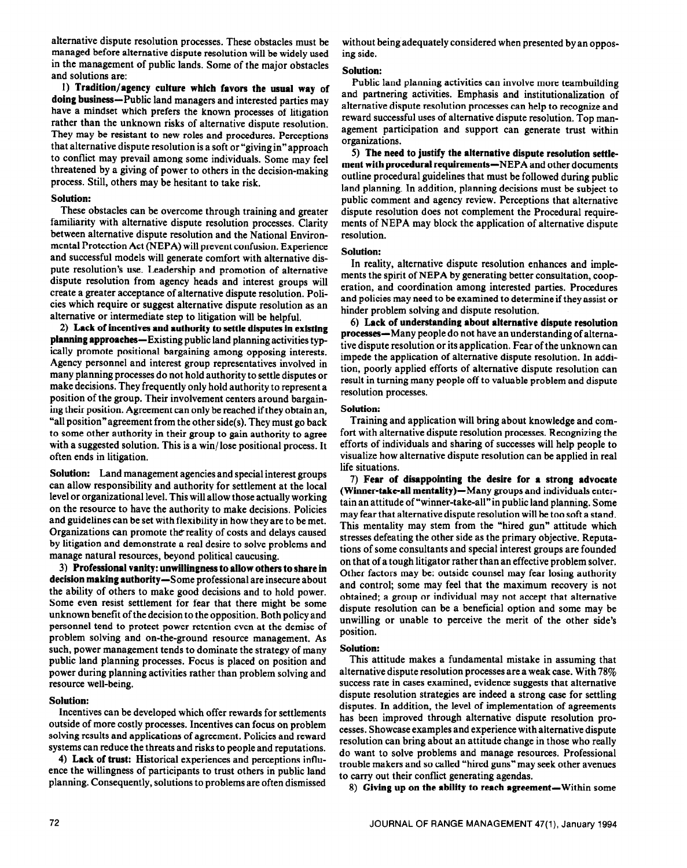alternative dispute resolution processes. These obstacles must be managed before alternative dispute resolution will be widely used in the management of public lands. Some of the major obstacles and solutions are:

1) Tradition/agency culture which favors the usual way of **doing** business-Public land managers and interested parties may have a mindset which prefers the known processes of litigation rather than the unknown risks of alternative dispute resolution. They may be resistant to new roles and procedures. Perceptions that alternative dispute resolution is a soft or "givingin"approach to conflict may prevail among some individuals. Some may feel threatened by a giving of power to others in the decision-making process. Still, others may be hesitant to take risk.

## Solution:

These obstacles can be overcome through training and greater familiarity with alternative dispute resolution processes. Clarity between alternative dispute resolution and the National Environmental Protection Act (NEPA) will prevent confusion. Experience and successful models will generate comfort with alternative dispute resolution's use. Leadership and promotion of alternative dispute resolution from agency heads and interest groups will create a greater acceptance of alternative dispute resolution. Policies which require or suggest alternative dispute resolution as an alternative or intermediate step to litigation will be helpful.

2) Lack of incentives and authority to settle disputes in existing **planning** approaches-Existing public land planning activities typically promote positional bargaining among opposing interests. Agency personnel and interest group representatives involved in many planning processes do not hold authority to settle disputes or make decisions. They frequently only hold authority to represent a position of the group. Their involvement centers around bargaining their position. Agreement can only be reached if they obtain an, "all position"agreement from the other side(s). They must go back to some other authority in their group to gain authority to agree with a suggested solution. This is a win/ lose positional process. It often ends in litigation.

Solution: Land management agencies and special interest groups can allow responsibility and authority for settlement at the local level or organizational level. This will allow those actually working on the resource to have the authority to make decisions. Policies and guidelines can be set with flexibility in how they are to be met. Organizations can promote the reality of costs and delays caused by litigation and demonstrate a real desire to solve problems and manage natural resources, beyond political caucusing.

3) Professional vanity: unwillingness to allow others to share in decision making authority-Some professional are insecure about the ability of others to make good decisions and to hold power. Some even resist settlement for fear that there might be some unknown benefit of the decision to the opposition. Both policy and personnel tend to protect power retention even at the demise of problem solving and on-the-ground resource management. As such, power management tends to dominate the strategy of many public land planning processes. Focus is placed on position and power during planning activities rather than problem solving and resource well-being.

## Solution:

Incentives can be developed which offer rewards for settlements outside of more costly processes. Incentives can focus on problem solving results and applications of agreement. Policies and reward systems can reduce the threats and risks to people and reputations.

4) Lack of trust: Historical experiences and perceptions influence the willingness of participants to trust others in public land planning. Consequently, solutions to problems are often dismissed without being adequately considered when presented by an opposing side.

#### Solution:

Public land planning activities can involve more teambuilding and partnering activities. Emphasis and institutionalization of alternative dispute resolution processes can help to recognize and reward successful uses of alternative dispute resolution. Top management participation and support can generate trust within organizations.

5) **The need to justify the alternative dispute resolution settle ment with procedural requirements-NEPA** and other documents outline procedural guidelines that must be followed during public land planning. In addition, planning decisions must be subject to public comment and agency review. Perceptions that alternative dispute resolution does not complement the Procedural requirements of NEPA may block the application of alternative dispute resolution.

## Solution:

In reality, alternative dispute resolution enhances and implements the spirit of NEPA by generating better consultation, cooperation, and coordination among interested parties. Procedures and policies may need to be examined to determine if they assist or hinder problem solving and dispute resolution.

6) Lack of understanding about alternative dispute resolution processes-Many people do not have an understanding of alternative dispute resolution or its application. Fear of the unknown can impede the application of alternative dispute resolution. In addition, poorly applied efforts of alternative dispute resolution can result in turning many people off to valuable problem and dispute resolution processes.

### **Solution:**

Training and application will bring about knowledge and comfort with alternative dispute resolution processes. Recognizing the efforts of individuals and sharing of successes will help people to visualize how alternative dispute resolution can be applied in real life situations.

7) Fear of disappointing the desire for a strong advocate (Winner-take-all mentality)-Many groups and individuals entertain an attitude of "winner-take-all"in public land planning. Some may fear that alternative dispute resolution will be too soft a stand. This mentality may stem from the "hired gun" attitude which stresses defeating the other side as the primary objective. Reputations of some consultants and special interest groups are founded on that of a tough litigator rather than an effective problem solver. Other factors may be: outside counsel may fear losing authority and control; some may feel that the maximum recovery is not obtained; a group or individual may not accept that alternative dispute resolution can be a beneficial option and some may be unwilling or unable to perceive the merit of the other side's position.

## Solution:

This attitude makes a fundamental mistake in assuming that alternative dispute resolution processes are a weak case. With 78% success rate in cases examined, evidence suggests that alternative dispute resolution strategies are indeed a strong case for settling disputes. In addition, the level of implementation of agreements has been improved through alternative dispute resolution processes. Showcase examples and experience with alternative dispute resolution can bring about an attitude change in those who really do want to solve problems and manage resources. Professional trouble makers and so called "hired guns"may seek other avenues to carry out their conflict generating agendas.

8) Giving up on the ability to reach agreement-Within some